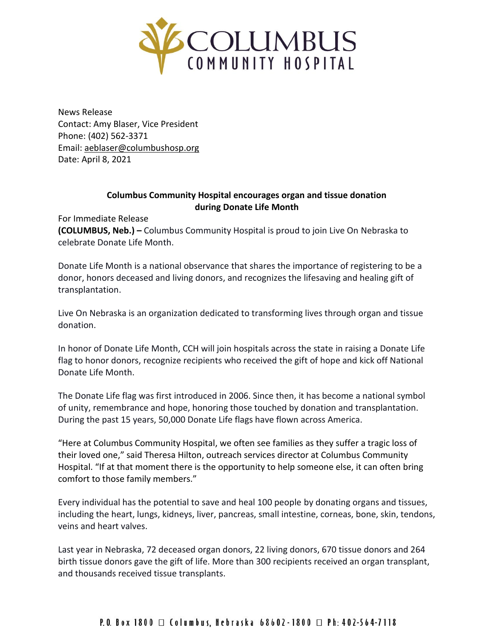

News Release Contact: Amy Blaser, Vice President Phone: (402) 562-3371 Email: [aeblaser@columbushosp.org](mailto:aeblaser@columbushosp.org) Date: April 8, 2021

## **Columbus Community Hospital encourages organ and tissue donation during Donate Life Month**

For Immediate Release

**(COLUMBUS, Neb.) –** Columbus Community Hospital is proud to join Live On Nebraska to celebrate Donate Life Month.

Donate Life Month is a national observance that shares the importance of registering to be a donor, honors deceased and living donors, and recognizes the lifesaving and healing gift of transplantation.

Live On Nebraska is an organization dedicated to transforming lives through organ and tissue donation.

In honor of Donate Life Month, CCH will join hospitals across the state in raising a Donate Life flag to honor donors, recognize recipients who received the gift of hope and kick off National Donate Life Month.

The Donate Life flag was first introduced in 2006. Since then, it has become a national symbol of unity, remembrance and hope, honoring those touched by donation and transplantation. During the past 15 years, 50,000 Donate Life flags have flown across America.

"Here at Columbus Community Hospital, we often see families as they suffer a tragic loss of their loved one," said Theresa Hilton, outreach services director at Columbus Community Hospital. "If at that moment there is the opportunity to help someone else, it can often bring comfort to those family members."

Every individual has the potential to save and heal 100 people by donating organs and tissues, including the heart, lungs, kidneys, liver, pancreas, small intestine, corneas, bone, skin, tendons, veins and heart valves.

Last year in Nebraska, 72 deceased organ donors, 22 living donors, 670 tissue donors and 264 birth tissue donors gave the gift of life. More than 300 recipients received an organ transplant, and thousands received tissue transplants.